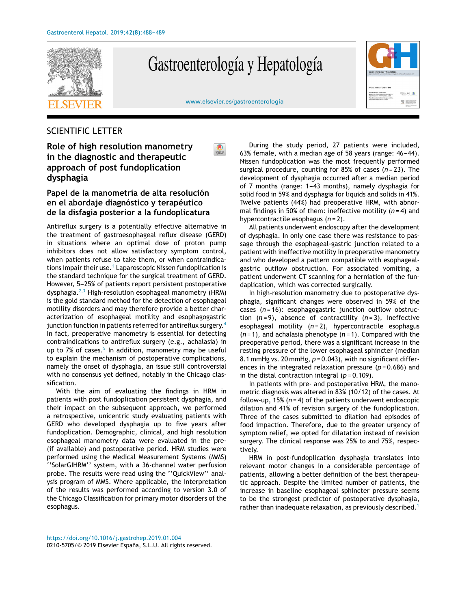

## Gastroenterología y Hepatología



[www.elsevier.es/gastroenterologia](http://www.elsevier.es/gastroenterologia)

## SCIENTIFIC LETTER

**Role of high resolution manometry in the diagnostic and therapeutic approach of post fundoplication dysphagia**

## **Papel de la manometría de alta resolución en el abordaje diagnóstico y terapéutico de la disfagia posterior a la fundoplicatura**

Antireflux surgery is a potentially effective alternative in the treatment of gastroesophageal reflux disease (GERD) in situations where an optimal dose of proton pump inhibitors does not allow satisfactory symptom control, when patients refuse to take them, or when contraindica-tions impair their use.<sup>1</sup> [L](#page-1-0)aparoscopic Nissen fundoplication is the standard technique for the surgical treatment of GERD. However, 5-25% of patients report persistent postoperative dysphagia. $^{2,3}$  $^{2,3}$  $^{2,3}$  High-resolution esophageal manometry (HRM) is the gold standard method for the detection of esophageal motility disorders and may therefore provide a better characterization of esophageal motility and esophagogastric junction function in patients referred for antireflux surgery.<sup>[4](#page-1-0)</sup> In fact, preoperative manometry is essential for detecting contraindications to antireflux surgery (e.g., achalasia) in up to 7% of cases.<sup>[5](#page-1-0)</sup> In addition, manometry may be useful to explain the mechanism of postoperative complications, namely the onset of dysphagia, an issue still controversial with no consensus yet defined, notably in the Chicago classification.

With the aim of evaluating the findings in HRM in patients with post fundoplication persistent dysphagia, and their impact on the subsequent approach, we performed a retrospective, unicentric study evaluating patients with GERD who developed dysphagia up to five years after fundoplication. Demographic, clinical, and high resolution esophageal manometry data were evaluated in the pre- (if available) and postoperative period. HRM studies were performed using the Medical Measurement Systems (MMS) ''SolarGIHRM'' system, with a 36-channel water perfusion probe. The results were read using the ''QuickView'' analysis program of MMS. Where applicable, the interpretation of the results was performed according to version 3.0 of the Chicago Classification for primary motor disorders of the esophagus.

During the study period, 27 patients were included, 63% female, with a median age of 58 years (range:  $46-44$ ). Nissen fundoplication was the most frequently performed surgical procedure, counting for 85% of cases (*n* = 23). The development of dysphagia occurred after a median period of 7 months (range: 1–43 months), namely dysphagia for solid food in 59% and dysphagia for liquids and solids in 41%. Twelve patients (44%) had preoperative HRM, with abnormal findings in 50% of them: ineffective motility (*n* = 4) and hypercontractile esophagus (*n* = 2).

All patients underwent endoscopy after the development of dysphagia. In only one case there was resistance to passage through the esophageal-gastric junction related to a patient with ineffective motility in preoperative manometry and who developed a pattern compatible with esophagealgastric outflow obstruction. For associated vomiting, a patient underwent CT scanning for a herniation of the fundaplication, which was corrected surgically.

In high-resolution manometry due to postoperative dysphagia, significant changes were observed in 59% of the cases (*n* = 16): esophagogastric junction outflow obstruction (*n* = 9), absence of contractility (*n* = 3), ineffective esophageal motility (*n* = 2), hypercontractile esophagus (*n* = 1), and achalasia phenotype (*n* = 1). Compared with the preoperative period, there was a significant increase in the resting pressure of the lower esophageal sphincter (median 8.1 mmHg vs. 20 mmHg, *p* = 0.043), with no significant differences in the integrated relaxation pressure (*p* = 0.686) and in the distal contraction integral  $(p = 0.109)$ .

In patients with pre- and postoperative HRM, the manometric diagnosis was altered in 83% (10/12) of the cases. At follow-up, 15% (*n* = 4) of the patients underwent endoscopic dilation and 41% of revision surgery of the fundoplication. Three of the cases submitted to dilation had episodes of food impaction. Therefore, due to the greater urgency of symptom relief, we opted for dilatation instead of revision surgery. The clinical response was 25% to and 75%, respectively.

HRM in post-fundoplication dysphagia translates into relevant motor changes in a considerable percentage of patients, allowing a better definition of the best therapeutic approach. Despite the limited number of patients, the increase in baseline esophageal sphincter pressure seems to be the strongest predictor of postoperative dysphagia, rather than inadequate relaxation, as previously described.<sup>[1](#page-1-0)</sup>